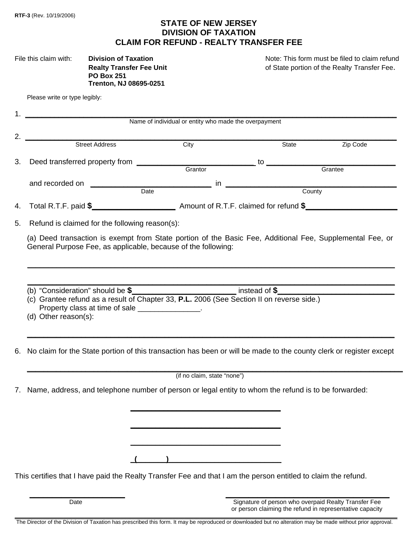## **STATE OF NEW JERSEY DIVISION OF TAXATION CLAIM FOR REFUND - REALTY TRANSFER FEE**

| File this claim with: | <b>Division of Taxation</b>    |  |  |
|-----------------------|--------------------------------|--|--|
|                       | <b>Realty Transfer Fee Uni</b> |  |  |
|                       | <b>PO Box 251</b>              |  |  |
|                       | <b>Trenton, NJ 08695-0251</b>  |  |  |

Note: This form must be filed to claim refund **Realty Transfer Fee.** Contains the State portion of the Realty Transfer Fee.

|                                                                                                                                                                                                                                                                                 | Name of individual or entity who made the overpayment                                                                                                                                                                              |                             |                                                      |          |  |  |  |
|---------------------------------------------------------------------------------------------------------------------------------------------------------------------------------------------------------------------------------------------------------------------------------|------------------------------------------------------------------------------------------------------------------------------------------------------------------------------------------------------------------------------------|-----------------------------|------------------------------------------------------|----------|--|--|--|
| 2.                                                                                                                                                                                                                                                                              | Street Address                                                                                                                                                                                                                     | City                        | State                                                | Zip Code |  |  |  |
| 3.                                                                                                                                                                                                                                                                              |                                                                                                                                                                                                                                    |                             |                                                      |          |  |  |  |
|                                                                                                                                                                                                                                                                                 |                                                                                                                                                                                                                                    |                             | Grantee                                              |          |  |  |  |
|                                                                                                                                                                                                                                                                                 | and recorded on<br>Date  Date  Date  Date  Date  Date  Date  Date  Date  Date  Date  Date  Date  Date  Date  Date  Date  Date  Date  Date  Date  Date  Date  Date  Date  Date  Date  Date $\frac{1}{2}$ Date  Date  Date  Date  Da |                             |                                                      |          |  |  |  |
| 4.                                                                                                                                                                                                                                                                              |                                                                                                                                                                                                                                    |                             |                                                      |          |  |  |  |
| 5.                                                                                                                                                                                                                                                                              | Refund is claimed for the following reason(s):                                                                                                                                                                                     |                             |                                                      |          |  |  |  |
|                                                                                                                                                                                                                                                                                 | (a) Deed transaction is exempt from State portion of the Basic Fee, Additional Fee, Supplemental Fee, or                                                                                                                           |                             |                                                      |          |  |  |  |
| (b) "Consideration" should be $\frac{2}{3}$ [10] instead of $\frac{2}{3}$ [10] instead of $\frac{2}{3}$<br>(c) Grantee refund as a result of Chapter 33, P.L. 2006 (See Section II on reverse side.)<br>Property class at time of sale _______________.<br>(d) Other reason(s): |                                                                                                                                                                                                                                    |                             |                                                      |          |  |  |  |
| 6.                                                                                                                                                                                                                                                                              | No claim for the State portion of this transaction has been or will be made to the county clerk or register except                                                                                                                 |                             |                                                      |          |  |  |  |
|                                                                                                                                                                                                                                                                                 |                                                                                                                                                                                                                                    | (if no claim, state "none") |                                                      |          |  |  |  |
|                                                                                                                                                                                                                                                                                 | 7. Name, address, and telephone number of person or legal entity to whom the refund is to be forwarded:                                                                                                                            |                             |                                                      |          |  |  |  |
|                                                                                                                                                                                                                                                                                 |                                                                                                                                                                                                                                    |                             |                                                      |          |  |  |  |
|                                                                                                                                                                                                                                                                                 |                                                                                                                                                                                                                                    |                             |                                                      |          |  |  |  |
|                                                                                                                                                                                                                                                                                 |                                                                                                                                                                                                                                    |                             |                                                      |          |  |  |  |
|                                                                                                                                                                                                                                                                                 | This certifies that I have paid the Realty Transfer Fee and that I am the person entitled to claim the refund.                                                                                                                     |                             |                                                      |          |  |  |  |
|                                                                                                                                                                                                                                                                                 |                                                                                                                                                                                                                                    |                             |                                                      |          |  |  |  |
|                                                                                                                                                                                                                                                                                 | Date                                                                                                                                                                                                                               |                             | Signature of person who overpaid Realty Transfer Fee |          |  |  |  |

 or person claiming the refund in representative capacity \_\_\_\_\_\_\_\_\_\_\_\_\_\_\_\_\_\_\_\_\_\_\_\_\_\_\_\_\_\_\_\_\_\_\_\_\_\_\_\_\_\_\_\_\_\_\_\_\_\_\_\_\_\_\_\_\_\_\_\_\_\_\_\_\_\_\_\_\_\_\_\_\_\_\_\_\_\_\_\_\_\_\_\_\_\_\_\_\_\_\_\_\_\_\_\_\_\_\_\_\_\_\_\_\_\_\_\_\_\_\_\_\_\_\_\_\_\_\_\_\_\_\_\_\_\_

The Director of the Division of Taxation has prescribed this form. It may be reproduced or downloaded but no alteration may be made without prior approval.